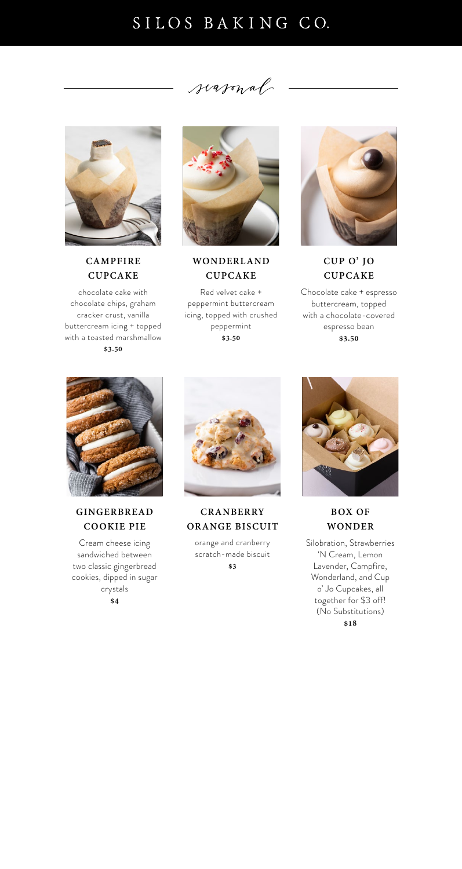# SILOS BAKING CO.

seasonal



# **CAMPFIRE CUPCAKE**

chocolate cake with chocolate chips, graham cracker crust, vanilla buttercream icing + topped with a toasted marshmallow **\$3.50**



# **GINGERBREAD COOKIE PIE**

Cream cheese icing sandwiched between two classic gingerbread cookies, dipped in sugar crystals **\$4**



# **WONDERLAND CUPCAKE**

# **CRANBERRY ORANGE BISCUIT**

Red velvet cake + peppermint buttercream icing, topped with crushed peppermint **\$3.50**



orange and cranberry scratch-made biscuit **\$3**



**CUP O' JO CUPCAKE**

### **BOX OF WONDER**

Chocolate cake + espresso buttercream, topped with a chocolate-covered espresso bean **\$3.50**



Silobration, Strawberries 'N Cream, Lemon Lavender, Campfire, Wonderland, and Cup o' Jo Cupcakes, all together for \$3 off! (No Substitutions) **\$18**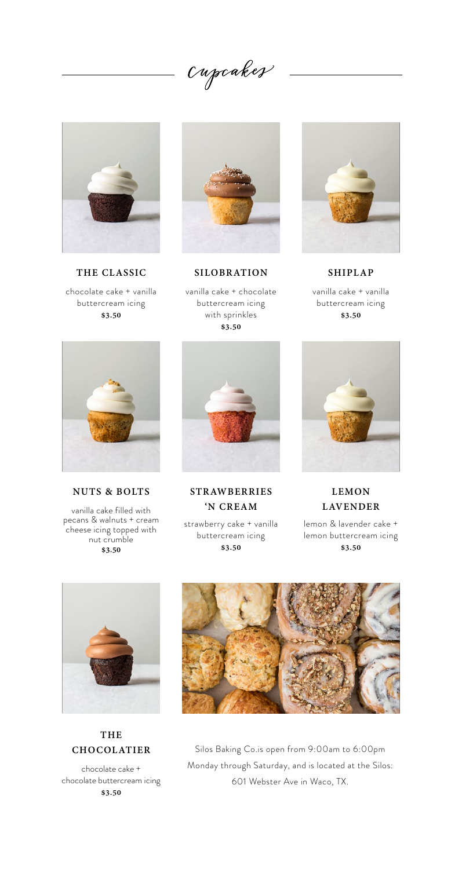Cupcakes



**THE CLASSIC SILOBRATION SHIPLAP** chocolate cake + vanilla buttercream icing **\$3.50**



vanilla cake + chocolate buttercream icing with sprinkles **\$3.50**



vanilla cake + vanilla buttercream icing

**\$3.50**

#### **THE CHOCOLATIER**

chocolate cake + chocolate buttercream icing **\$3.50**

strawberry cake + vanilla buttercream icing **\$3.50**



**LEMON LAVENDER** 

vanilla cake filled with pecans & walnuts + cream cheese icing topped with nut crumble **\$3.50**



**STRAWBERRIES 'N CREAM** 

lemon & lavender cake + lemon buttercream icing **\$3.50**







**NUTS & BOLTS**

Silos Baking Co.is open from 9:00am to 6:00pm Monday through Saturday, and is located at the Silos: 601 Webster Ave in Waco, TX.